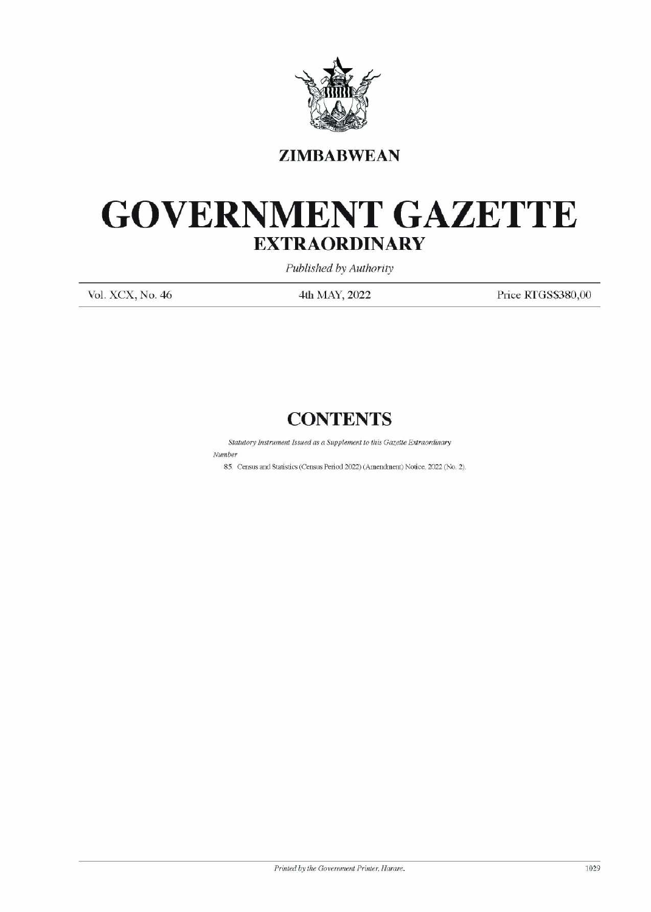

## **ZIMBABWEAN**

## GOVERNMENT GAZETTE EXTRAORDINARY EXTRAOR EXTRAOR  $\text{GOVERNME} \label{eq:GOVER} \begin{minipage}{0.5\textwidth} \begin{tabular}{c} \multicolumn{2}{c}{\textbf{ZIMBA}}\\ \multicolumn{2}{c}{\textbf{ZIMBA}}\\ \multicolumn{2}{c}{\textbf{ZIMBA}}\\ \multicolumn{2}{c}{\textbf{WIRAOL}}\\ \multicolumn{2}{c}{\textbf{WALNCA}}\\ \multicolumn{2}{c}{\textbf{Vol. XCX, No. 46}} \end{tabular} \end{minipage}$

Published by Authority

Vol. XCX, No. 46 4th MAY, 2022 Price RTGS\$380,00

## **CONTENTS**

Statutory Instrument Issued as a Supplement to this Gazette Extraordinary 

Number

85. Census and Statistics (Census Period 2022) (Amendment) Notice, 2022 (No. 2).